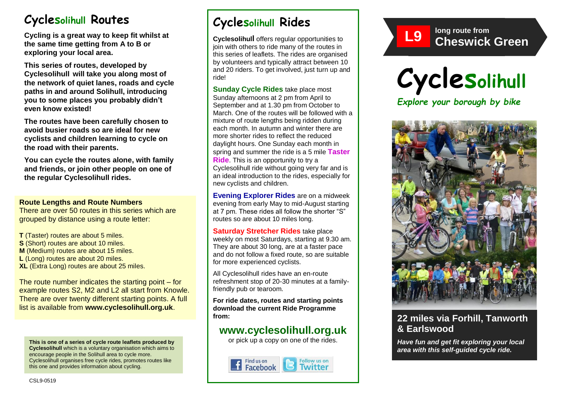# **Cyclesolihull Routes**

**Cycling is a great way to keep fit whilst at the same time getting from A to B or exploring your local area.** 

**This series of routes, developed by Cyclesolihull will take you along most of the network of quiet lanes, roads and cycle paths in and around Solihull, introducing you to some places you probably didn't even know existed!**

**The routes have been carefully chosen to avoid busier roads so are ideal for new cyclists and children learning to cycle on the road with their parents.** 

**You can cycle the routes alone, with family and friends, or join other people on one of the regular Cyclesolihull rides.**

### **Route Lengths and Route Numbers**

There are over 50 routes in this series which are grouped by distance using a route letter:

**T** (Taster) routes are about 5 miles. **S** (Short) routes are about 10 miles. **M** (Medium) routes are about 15 miles. **L** (Long) routes are about 20 miles. **XL** (Extra Long) routes are about 25 miles.

The route number indicates the starting point – for example routes S2, M2 and L2 all start from Knowle. There are over twenty different starting points. A full list is available from **www.cyclesolihull.org.uk**.

**This is one of a series of cycle route leaflets produced by Cyclesolihull** which is a voluntary organisation which aims to encourage people in the Solihull area to cycle more. Cyclesolihull organises free cycle rides, promotes routes like this one and provides information about cycling.

# **Cyclesolihull Rides**

**Cyclesolihull** offers regular opportunities to join with others to ride many of the routes in this series of leaflets. The rides are organised by volunteers and typically attract between 10 and 20 riders. To get involved, just turn up and ride!

**Sunday Cycle Rides** take place most Sunday afternoons at 2 pm from April to September and at 1.30 pm from October to March. One of the routes will be followed with a mixture of route lengths being ridden during each month. In autumn and winter there are more shorter rides to reflect the reduced daylight hours. One Sunday each month in spring and summer the ride is a 5 mile **Taster Ride**. This is an opportunity to try a Cyclesolihull ride without going very far and is an ideal introduction to the rides, especially for new cyclists and children.

**Evening Explorer Rides** are on a midweek evening from early May to mid-August starting at 7 pm. These rides all follow the shorter "S" routes so are about 10 miles long.

**Saturday Stretcher Rides** take place weekly on most Saturdays, starting at 9.30 am. They are about 30 long, are at a faster pace and do not follow a fixed route, so are suitable for more experienced cyclists.

All Cyclesolihull rides have an en-route refreshment stop of 20-30 minutes at a familyfriendly pub or tearoom.

**For ride dates, routes and starting points download the current Ride Programme from:** 

## **www.cyclesolihull.org.uk**

or pick up a copy on one of the rides.









### **22 miles via Forhill, Tanworth & Earlswood**

*Have fun and get fit exploring your local area with this self-guided cycle ride.*